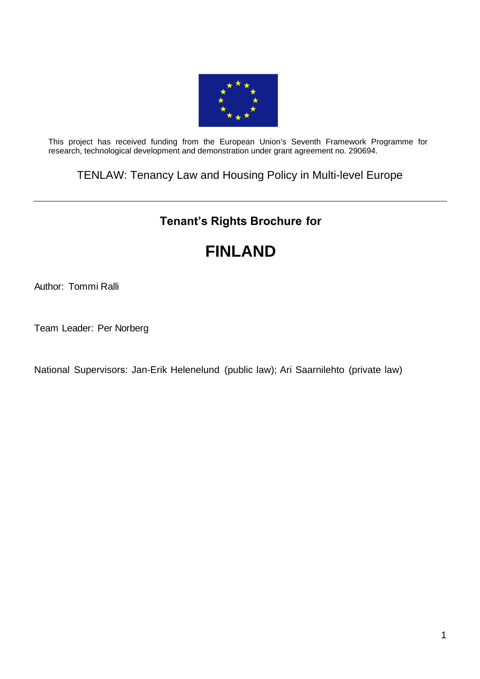

This project has received funding from the European Union's Seventh Framework Programme for research, technological development and demonstration under grant agreement no. 290694.

TENLAW: Tenancy Law and Housing Policy in Multi-level Europe

# **Tenant's Rights Brochure for**

# **FINLAND**

Author: Tommi Ralli

Team Leader: Per Norberg

National Supervisors: Jan-Erik Helenelund (public law); Ari Saarnilehto (private law)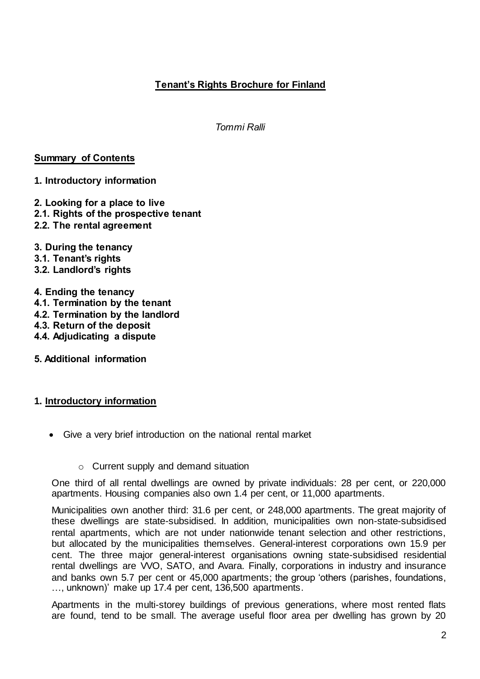# **Tenant's Rights Brochure for Finland**

*Tommi Ralli*

#### **Summary of Contents**

#### **1. Introductory information**

- **2. Looking for a place to live**
- **2.1. Rights of the prospective tenant**
- **2.2. The rental agreement**
- **3. During the tenancy**
- **3.1. Tenant's rights**
- **3.2. Landlord's rights**

#### **4. Ending the tenancy**

- **4.1. Termination by the tenant**
- **4.2. Termination by the landlord**
- **4.3. Return of the deposit**
- **4.4. Adjudicating a dispute**
- **5. Additional information**

# **1. Introductory information**

- Give a very brief introduction on the national rental market
	- o Current supply and demand situation

One third of all rental dwellings are owned by private individuals: 28 per cent, or 220,000 apartments. Housing companies also own 1.4 per cent, or 11,000 apartments.

Municipalities own another third: 31.6 per cent, or 248,000 apartments. The great majority of these dwellings are state-subsidised. In addition, municipalities own non-state-subsidised rental apartments, which are not under nationwide tenant selection and other restrictions, but allocated by the municipalities themselves. General-interest corporations own 15.9 per cent. The three major general-interest organisations owning state-subsidised residential rental dwellings are VVO, SATO, and Avara. Finally, corporations in industry and insurance and banks own 5.7 per cent or 45,000 apartments; the group 'others (parishes, foundations, …, unknown)' make up 17.4 per cent, 136,500 apartments.

Apartments in the multi-storey buildings of previous generations, where most rented flats are found, tend to be small. The average useful floor area per dwelling has grown by 20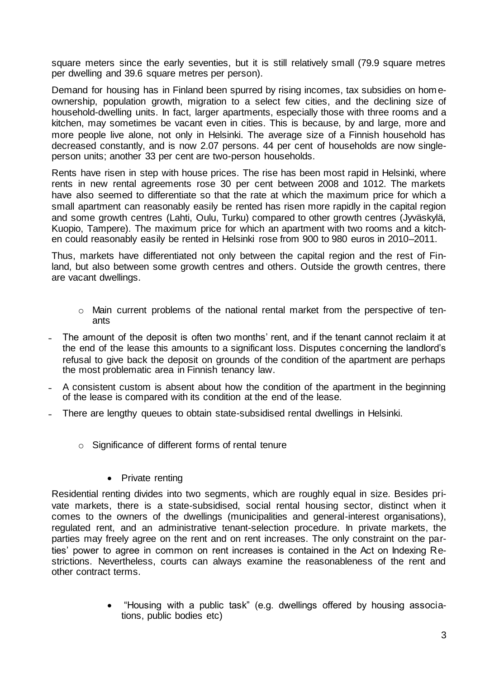square meters since the early seventies, but it is still relatively small (79.9 square metres per dwelling and 39.6 square metres per person).

Demand for housing has in Finland been spurred by rising incomes, tax subsidies on homeownership, population growth, migration to a select few cities, and the declining size of household-dwelling units. In fact, larger apartments, especially those with three rooms and a kitchen, may sometimes be vacant even in cities. This is because, by and large, more and more people live alone, not only in Helsinki. The average size of a Finnish household has decreased constantly, and is now 2.07 persons. 44 per cent of households are now singleperson units; another 33 per cent are two-person households.

Rents have risen in step with house prices. The rise has been most rapid in Helsinki, where rents in new rental agreements rose 30 per cent between 2008 and 1012. The markets have also seemed to differentiate so that the rate at which the maximum price for which a small apartment can reasonably easily be rented has risen more rapidly in the capital region and some growth centres (Lahti, Oulu, Turku) compared to other growth centres (Jyväskylä, Kuopio, Tampere). The maximum price for which an apartment with two rooms and a kitchen could reasonably easily be rented in Helsinki rose from 900 to 980 euros in 2010–2011.

Thus, markets have differentiated not only between the capital region and the rest of Finland, but also between some growth centres and others. Outside the growth centres, there are vacant dwellings.

- $\circ$  Main current problems of the national rental market from the perspective of tenants
- The amount of the deposit is often two months' rent, and if the tenant cannot reclaim it at the end of the lease this amounts to a significant loss. Disputes concerning the landlord's refusal to give back the deposit on grounds of the condition of the apartment are perhaps the most problematic area in Finnish tenancy law.
- ˗ A consistent custom is absent about how the condition of the apartment in the beginning of the lease is compared with its condition at the end of the lease.
- ˗ There are lengthy queues to obtain state-subsidised rental dwellings in Helsinki.
	- o Significance of different forms of rental tenure
		- Private renting

Residential renting divides into two segments, which are roughly equal in size. Besides private markets, there is a state-subsidised, social rental housing sector, distinct when it comes to the owners of the dwellings (municipalities and general-interest organisations), regulated rent, and an administrative tenant-selection procedure. In private markets, the parties may freely agree on the rent and on rent increases. The only constraint on the parties' power to agree in common on rent increases is contained in the Act on Indexing Restrictions. Nevertheless, courts can always examine the reasonableness of the rent and other contract terms.

> "Housing with a public task" (e.g. dwellings offered by housing associations, public bodies etc)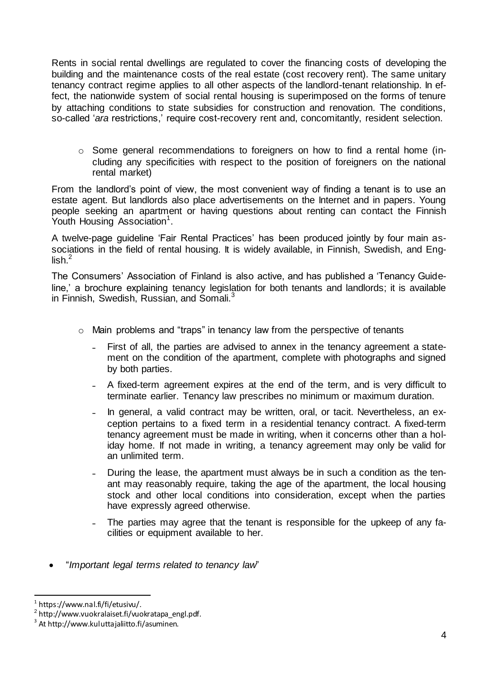Rents in social rental dwellings are regulated to cover the financing costs of developing the building and the maintenance costs of the real estate (cost recovery rent). The same unitary tenancy contract regime applies to all other aspects of the landlord-tenant relationship. In effect, the nationwide system of social rental housing is superimposed on the forms of tenure by attaching conditions to state subsidies for construction and renovation. The conditions, so-called '*ara* restrictions,' require cost-recovery rent and, concomitantly, resident selection.

o Some general recommendations to foreigners on how to find a rental home (including any specificities with respect to the position of foreigners on the national rental market)

From the landlord's point of view, the most convenient way of finding a tenant is to use an estate agent. But landlords also place advertisements on the Internet and in papers. Young people seeking an apartment or having questions about renting can contact the Finnish Youth Housing Association<sup>1</sup>.

A twelve-page guideline 'Fair Rental Practices' has been produced jointly by four main associations in the field of rental housing. It is widely available, in Finnish, Swedish, and English. $<sup>2</sup>$ </sup>

The Consumers' Association of Finland is also active, and has published a 'Tenancy Guideline,' a brochure explaining tenancy legislation for both tenants and landlords; it is available in Finnish, Swedish, Russian, and Somali. $3$ 

- o Main problems and "traps" in tenancy law from the perspective of tenants
	- First of all, the parties are advised to annex in the tenancy agreement a statement on the condition of the apartment, complete with photographs and signed by both parties.
	- ˗ A fixed-term agreement expires at the end of the term, and is very difficult to terminate earlier. Tenancy law prescribes no minimum or maximum duration.
	- In general, a valid contract may be written, oral, or tacit. Nevertheless, an exception pertains to a fixed term in a residential tenancy contract. A fixed-term tenancy agreement must be made in writing, when it concerns other than a holiday home. If not made in writing, a tenancy agreement may only be valid for an unlimited term.
	- During the lease, the apartment must always be in such a condition as the tenant may reasonably require, taking the age of the apartment, the local housing stock and other local conditions into consideration, except when the parties have expressly agreed otherwise.
	- The parties may agree that the tenant is responsible for the upkeep of any facilities or equipment available to her.
- "*Important legal terms related to tenancy law*"

l <sup>1</sup> https://www.nal.fi/fi/etusivu/.

<sup>&</sup>lt;sup>2</sup> http://www.vuokralaiset.fi/vuokratapa\_engl.pdf.

 $^3$  At http://www.kuluttajaliitto.fi/asuminen.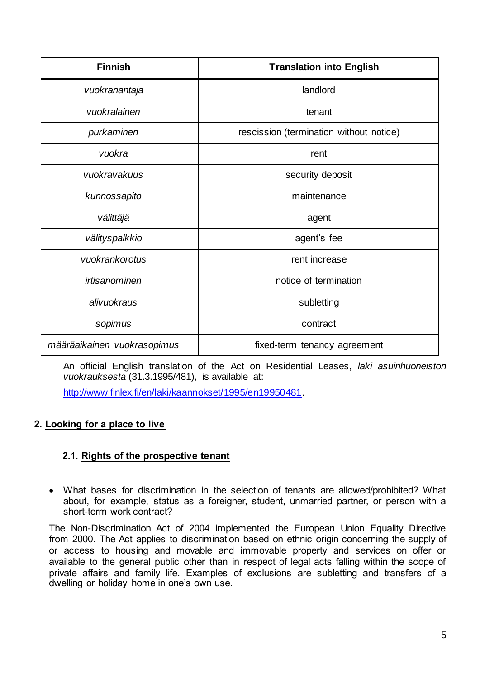| <b>Finnish</b>              | <b>Translation into English</b>         |
|-----------------------------|-----------------------------------------|
| vuokranantaja               | landlord                                |
| vuokralainen                | tenant                                  |
| purkaminen                  | rescission (termination without notice) |
| vuokra                      | rent                                    |
| vuokravakuus                | security deposit                        |
| kunnossapito                | maintenance                             |
| välittäjä                   | agent                                   |
| välityspalkkio              | agent's fee                             |
| vuokrankorotus              | rent increase                           |
| irtisanominen               | notice of termination                   |
| alivuokraus                 | subletting                              |
| sopimus                     | contract                                |
| määräaikainen vuokrasopimus | fixed-term tenancy agreement            |

An official English translation of the Act on Residential Leases, *laki asuinhuoneiston vuokrauksesta* (31.3.1995/481), is available at:

[http://www.finlex.fi/en/laki/kaannokset/1995/en19950481.](http://www.finlex.fi/en/laki/kaannokset/1995/en19950481) 

# **2. Looking for a place to live**

#### **2.1. Rights of the prospective tenant**

 What bases for discrimination in the selection of tenants are allowed/prohibited? What about, for example, status as a foreigner, student, unmarried partner, or person with a short-term work contract?

The Non-Discrimination Act of 2004 implemented the European Union Equality Directive from 2000. The Act applies to discrimination based on ethnic origin concerning the supply of or access to housing and movable and immovable property and services on offer or available to the general public other than in respect of legal acts falling within the scope of private affairs and family life. Examples of exclusions are subletting and transfers of a dwelling or holiday home in one's own use.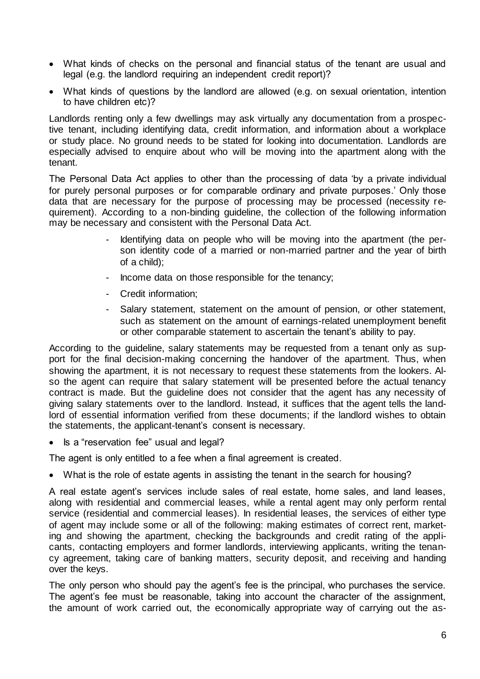- What kinds of checks on the personal and financial status of the tenant are usual and legal (e.g. the landlord requiring an independent credit report)?
- What kinds of questions by the landlord are allowed (e.g. on sexual orientation, intention to have children etc)?

Landlords renting only a few dwellings may ask virtually any documentation from a prospective tenant, including identifying data, credit information, and information about a workplace or study place. No ground needs to be stated for looking into documentation. Landlords are especially advised to enquire about who will be moving into the apartment along with the tenant.

The Personal Data Act applies to other than the processing of data 'by a private individual for purely personal purposes or for comparable ordinary and private purposes.' Only those data that are necessary for the purpose of processing may be processed (necessity requirement). According to a non-binding guideline, the collection of the following information may be necessary and consistent with the Personal Data Act.

- Identifying data on people who will be moving into the apartment (the person identity code of a married or non-married partner and the year of birth of a child);
- Income data on those responsible for the tenancy;
- Credit information;
- Salary statement, statement on the amount of pension, or other statement, such as statement on the amount of earnings-related unemployment benefit or other comparable statement to ascertain the tenant's ability to pay.

According to the guideline, salary statements may be requested from a tenant only as support for the final decision-making concerning the handover of the apartment. Thus, when showing the apartment, it is not necessary to request these statements from the lookers. Also the agent can require that salary statement will be presented before the actual tenancy contract is made. But the guideline does not consider that the agent has any necessity of giving salary statements over to the landlord. Instead, it suffices that the agent tells the landlord of essential information verified from these documents; if the landlord wishes to obtain the statements, the applicant-tenant's consent is necessary.

Is a "reservation fee" usual and legal?

The agent is only entitled to a fee when a final agreement is created.

What is the role of estate agents in assisting the tenant in the search for housing?

A real estate agent's services include sales of real estate, home sales, and land leases, along with residential and commercial leases, while a rental agent may only perform rental service (residential and commercial leases). In residential leases, the services of either type of agent may include some or all of the following: making estimates of correct rent, marketing and showing the apartment, checking the backgrounds and credit rating of the applicants, contacting employers and former landlords, interviewing applicants, writing the tenancy agreement, taking care of banking matters, security deposit, and receiving and handing over the keys.

The only person who should pay the agent's fee is the principal, who purchases the service. The agent's fee must be reasonable, taking into account the character of the assignment, the amount of work carried out, the economically appropriate way of carrying out the as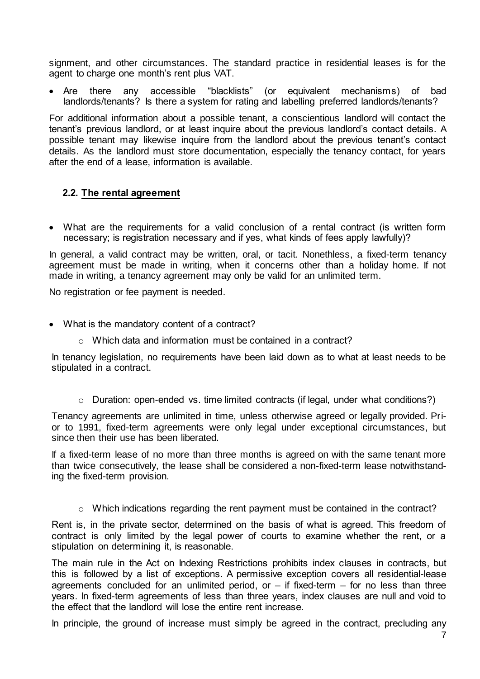signment, and other circumstances. The standard practice in residential leases is for the agent to charge one month's rent plus VAT.

 Are there any accessible "blacklists" (or equivalent mechanisms) of bad landlords/tenants? Is there a system for rating and labelling preferred landlords/tenants?

For additional information about a possible tenant, a conscientious landlord will contact the tenant's previous landlord, or at least inquire about the previous landlord's contact details. A possible tenant may likewise inquire from the landlord about the previous tenant's contact details. As the landlord must store documentation, especially the tenancy contact, for years after the end of a lease, information is available.

#### **2.2. The rental agreement**

 What are the requirements for a valid conclusion of a rental contract (is written form necessary; is registration necessary and if yes, what kinds of fees apply lawfully)?

In general, a valid contract may be written, oral, or tacit. Nonethless, a fixed-term tenancy agreement must be made in writing, when it concerns other than a holiday home. If not made in writing, a tenancy agreement may only be valid for an unlimited term.

No registration or fee payment is needed.

- What is the mandatory content of a contract?
	- o Which data and information must be contained in a contract?

In tenancy legislation, no requirements have been laid down as to what at least needs to be stipulated in a contract.

o Duration: open-ended vs. time limited contracts (if legal, under what conditions?)

Tenancy agreements are unlimited in time, unless otherwise agreed or legally provided. Prior to 1991, fixed-term agreements were only legal under exceptional circumstances, but since then their use has been liberated.

If a fixed-term lease of no more than three months is agreed on with the same tenant more than twice consecutively, the lease shall be considered a non-fixed-term lease notwithstanding the fixed-term provision.

o Which indications regarding the rent payment must be contained in the contract?

Rent is, in the private sector, determined on the basis of what is agreed. This freedom of contract is only limited by the legal power of courts to examine whether the rent, or a stipulation on determining it, is reasonable.

The main rule in the Act on Indexing Restrictions prohibits index clauses in contracts, but this is followed by a list of exceptions. A permissive exception covers all residential-lease agreements concluded for an unlimited period, or  $-$  if fixed-term  $-$  for no less than three years. In fixed-term agreements of less than three years, index clauses are null and void to the effect that the landlord will lose the entire rent increase.

In principle, the ground of increase must simply be agreed in the contract, precluding any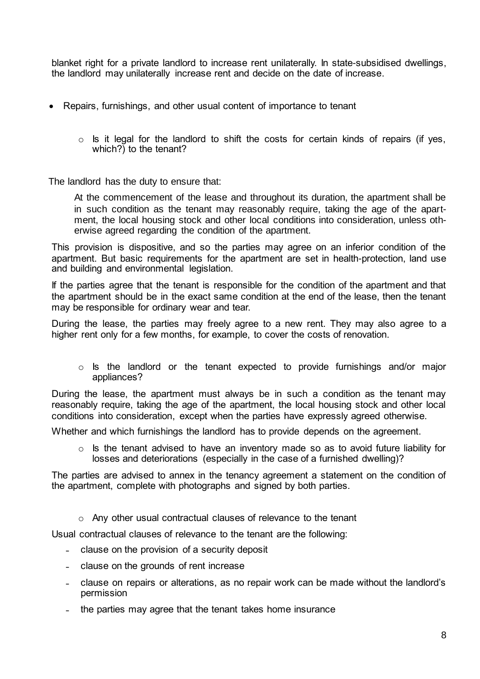blanket right for a private landlord to increase rent unilaterally. In state-subsidised dwellings, the landlord may unilaterally increase rent and decide on the date of increase.

- Repairs, furnishings, and other usual content of importance to tenant
	- $\circ$  Is it legal for the landlord to shift the costs for certain kinds of repairs (if yes, which?) to the tenant?

The landlord has the duty to ensure that:

At the commencement of the lease and throughout its duration, the apartment shall be in such condition as the tenant may reasonably require, taking the age of the apartment, the local housing stock and other local conditions into consideration, unless otherwise agreed regarding the condition of the apartment.

This provision is dispositive, and so the parties may agree on an inferior condition of the apartment. But basic requirements for the apartment are set in health-protection, land use and building and environmental legislation.

If the parties agree that the tenant is responsible for the condition of the apartment and that the apartment should be in the exact same condition at the end of the lease, then the tenant may be responsible for ordinary wear and tear.

During the lease, the parties may freely agree to a new rent. They may also agree to a higher rent only for a few months, for example, to cover the costs of renovation.

 $\circ$  Is the landlord or the tenant expected to provide furnishings and/or major appliances?

During the lease, the apartment must always be in such a condition as the tenant may reasonably require, taking the age of the apartment, the local housing stock and other local conditions into consideration, except when the parties have expressly agreed otherwise.

Whether and which furnishings the landlord has to provide depends on the agreement.

 $\circ$  Is the tenant advised to have an inventory made so as to avoid future liability for losses and deteriorations (especially in the case of a furnished dwelling)?

The parties are advised to annex in the tenancy agreement a statement on the condition of the apartment, complete with photographs and signed by both parties.

o Any other usual contractual clauses of relevance to the tenant

Usual contractual clauses of relevance to the tenant are the following:

- clause on the provision of a security deposit
- clause on the grounds of rent increase
- ˗ clause on repairs or alterations, as no repair work can be made without the landlord's permission
- the parties may agree that the tenant takes home insurance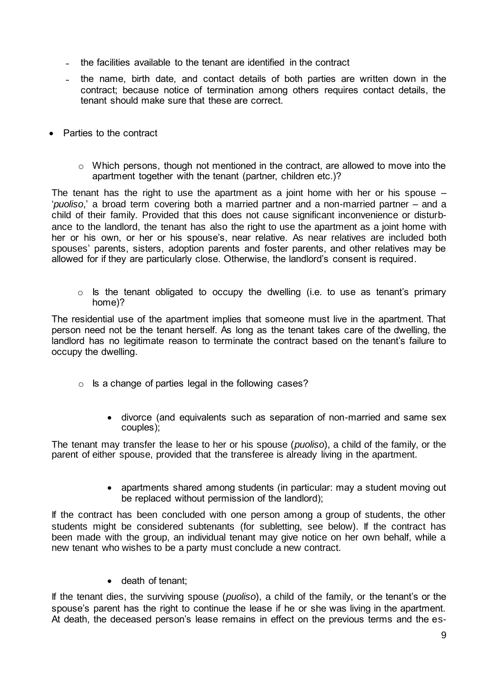- the facilities available to the tenant are identified in the contract
- the name, birth date, and contact details of both parties are written down in the contract; because notice of termination among others requires contact details, the tenant should make sure that these are correct.
- Parties to the contract
	- o Which persons, though not mentioned in the contract, are allowed to move into the apartment together with the tenant (partner, children etc.)?

The tenant has the right to use the apartment as a joint home with her or his spouse  $-$ '*puoliso*,' a broad term covering both a married partner and a non-married partner – and a child of their family. Provided that this does not cause significant inconvenience or disturbance to the landlord, the tenant has also the right to use the apartment as a joint home with her or his own, or her or his spouse's, near relative. As near relatives are included both spouses' parents, sisters, adoption parents and foster parents, and other relatives may be allowed for if they are particularly close. Otherwise, the landlord's consent is required.

 $\circ$  Is the tenant obligated to occupy the dwelling (i.e. to use as tenant's primary home)?

The residential use of the apartment implies that someone must live in the apartment. That person need not be the tenant herself. As long as the tenant takes care of the dwelling, the landlord has no legitimate reason to terminate the contract based on the tenant's failure to occupy the dwelling.

- $\circ$  Is a change of parties legal in the following cases?
	- divorce (and equivalents such as separation of non-married and same sex couples);

The tenant may transfer the lease to her or his spouse (*puoliso*), a child of the family, or the parent of either spouse, provided that the transferee is already living in the apartment.

> • apartments shared among students (in particular: may a student moving out be replaced without permission of the landlord);

If the contract has been concluded with one person among a group of students, the other students might be considered subtenants (for subletting, see below). If the contract has been made with the group, an individual tenant may give notice on her own behalf, while a new tenant who wishes to be a party must conclude a new contract.

• death of tenant;

If the tenant dies, the surviving spouse (*puoliso*), a child of the family, or the tenant's or the spouse's parent has the right to continue the lease if he or she was living in the apartment. At death, the deceased person's lease remains in effect on the previous terms and the es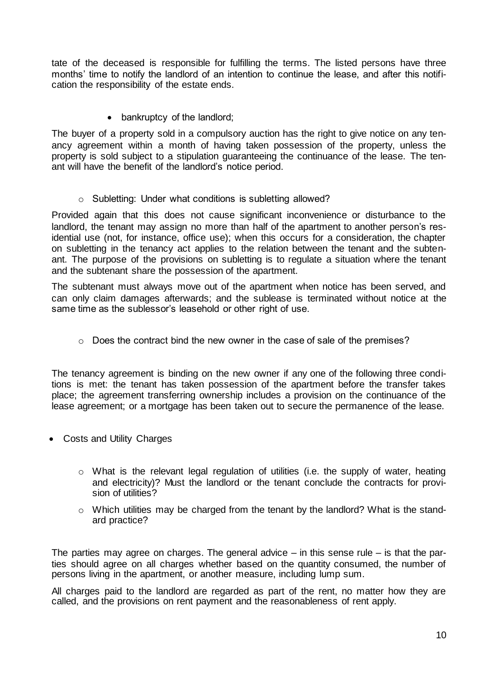tate of the deceased is responsible for fulfilling the terms. The listed persons have three months' time to notify the landlord of an intention to continue the lease, and after this notification the responsibility of the estate ends.

• bankruptcy of the landlord;

The buyer of a property sold in a compulsory auction has the right to give notice on any tenancy agreement within a month of having taken possession of the property, unless the property is sold subject to a stipulation guaranteeing the continuance of the lease. The tenant will have the benefit of the landlord's notice period.

o Subletting: Under what conditions is subletting allowed?

Provided again that this does not cause significant inconvenience or disturbance to the landlord, the tenant may assign no more than half of the apartment to another person's residential use (not, for instance, office use); when this occurs for a consideration, the chapter on subletting in the tenancy act applies to the relation between the tenant and the subtenant. The purpose of the provisions on subletting is to regulate a situation where the tenant and the subtenant share the possession of the apartment.

The subtenant must always move out of the apartment when notice has been served, and can only claim damages afterwards; and the sublease is terminated without notice at the same time as the sublessor's leasehold or other right of use.

o Does the contract bind the new owner in the case of sale of the premises?

The tenancy agreement is binding on the new owner if any one of the following three conditions is met: the tenant has taken possession of the apartment before the transfer takes place; the agreement transferring ownership includes a provision on the continuance of the lease agreement; or a mortgage has been taken out to secure the permanence of the lease.

- Costs and Utility Charges
	- o What is the relevant legal regulation of utilities (i.e. the supply of water, heating and electricity)? Must the landlord or the tenant conclude the contracts for provision of utilities?
	- $\circ$  Which utilities may be charged from the tenant by the landlord? What is the standard practice?

The parties may agree on charges. The general advice  $-$  in this sense rule  $-$  is that the parties should agree on all charges whether based on the quantity consumed, the number of persons living in the apartment, or another measure, including lump sum.

All charges paid to the landlord are regarded as part of the rent, no matter how they are called, and the provisions on rent payment and the reasonableness of rent apply.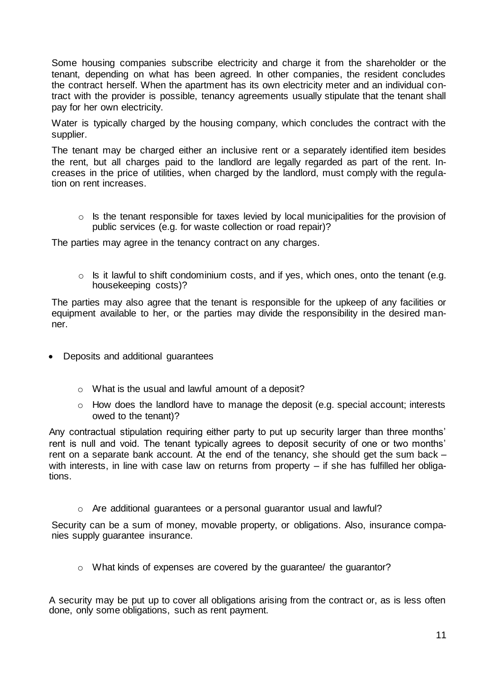Some housing companies subscribe electricity and charge it from the shareholder or the tenant, depending on what has been agreed. In other companies, the resident concludes the contract herself. When the apartment has its own electricity meter and an individual contract with the provider is possible, tenancy agreements usually stipulate that the tenant shall pay for her own electricity.

Water is typically charged by the housing company, which concludes the contract with the supplier.

The tenant may be charged either an inclusive rent or a separately identified item besides the rent, but all charges paid to the landlord are legally regarded as part of the rent. Increases in the price of utilities, when charged by the landlord, must comply with the regulation on rent increases.

o Is the tenant responsible for taxes levied by local municipalities for the provision of public services (e.g. for waste collection or road repair)?

The parties may agree in the tenancy contract on any charges.

 $\circ$  Is it lawful to shift condominium costs, and if yes, which ones, onto the tenant (e.g. housekeeping costs)?

The parties may also agree that the tenant is responsible for the upkeep of any facilities or equipment available to her, or the parties may divide the responsibility in the desired manner.

- Deposits and additional guarantees
	- o What is the usual and lawful amount of a deposit?
	- $\circ$  How does the landlord have to manage the deposit (e.g. special account; interests owed to the tenant)?

Any contractual stipulation requiring either party to put up security larger than three months' rent is null and void. The tenant typically agrees to deposit security of one or two months' rent on a separate bank account. At the end of the tenancy, she should get the sum back – with interests, in line with case law on returns from property – if she has fulfilled her obligations.

o Are additional guarantees or a personal guarantor usual and lawful?

Security can be a sum of money, movable property, or obligations. Also, insurance companies supply guarantee insurance.

o What kinds of expenses are covered by the guarantee/ the guarantor?

A security may be put up to cover all obligations arising from the contract or, as is less often done, only some obligations, such as rent payment.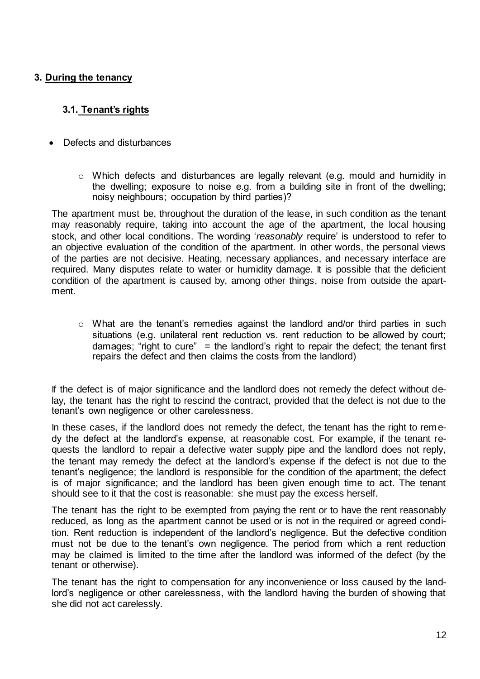# **3. During the tenancy**

# **3.1. Tenant's rights**

- Defects and disturbances
	- o Which defects and disturbances are legally relevant (e.g. mould and humidity in the dwelling; exposure to noise e.g. from a building site in front of the dwelling; noisy neighbours; occupation by third parties)?

The apartment must be, throughout the duration of the lease, in such condition as the tenant may reasonably require, taking into account the age of the apartment, the local housing stock, and other local conditions. The wording '*reasonably* require' is understood to refer to an objective evaluation of the condition of the apartment. In other words, the personal views of the parties are not decisive. Heating, necessary appliances, and necessary interface are required. Many disputes relate to water or humidity damage. It is possible that the deficient condition of the apartment is caused by, among other things, noise from outside the apartment.

 $\circ$  What are the tenant's remedies against the landlord and/or third parties in such situations (e.g. unilateral rent reduction vs. rent reduction to be allowed by court; damages; "right to cure" = the landlord's right to repair the defect; the tenant first repairs the defect and then claims the costs from the landlord)

If the defect is of major significance and the landlord does not remedy the defect without delay, the tenant has the right to rescind the contract, provided that the defect is not due to the tenant's own negligence or other carelessness.

In these cases, if the landlord does not remedy the defect, the tenant has the right to remedy the defect at the landlord's expense, at reasonable cost. For example, if the tenant requests the landlord to repair a defective water supply pipe and the landlord does not reply, the tenant may remedy the defect at the landlord's expense if the defect is not due to the tenant's negligence; the landlord is responsible for the condition of the apartment; the defect is of major significance; and the landlord has been given enough time to act. The tenant should see to it that the cost is reasonable: she must pay the excess herself.

The tenant has the right to be exempted from paying the rent or to have the rent reasonably reduced, as long as the apartment cannot be used or is not in the required or agreed condition. Rent reduction is independent of the landlord's negligence. But the defective condition must not be due to the tenant's own negligence. The period from which a rent reduction may be claimed is limited to the time after the landlord was informed of the defect (by the tenant or otherwise).

The tenant has the right to compensation for any inconvenience or loss caused by the landlord's negligence or other carelessness, with the landlord having the burden of showing that she did not act carelessly.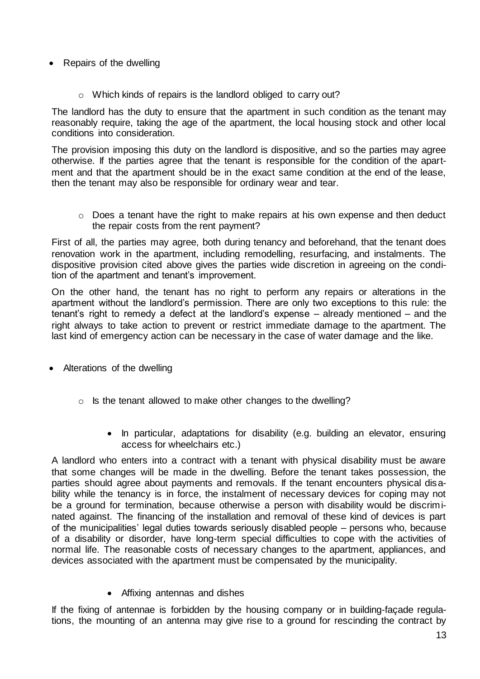#### • Repairs of the dwelling

o Which kinds of repairs is the landlord obliged to carry out?

The landlord has the duty to ensure that the apartment in such condition as the tenant may reasonably require, taking the age of the apartment, the local housing stock and other local conditions into consideration.

The provision imposing this duty on the landlord is dispositive, and so the parties may agree otherwise. If the parties agree that the tenant is responsible for the condition of the apartment and that the apartment should be in the exact same condition at the end of the lease, then the tenant may also be responsible for ordinary wear and tear.

o Does a tenant have the right to make repairs at his own expense and then deduct the repair costs from the rent payment?

First of all, the parties may agree, both during tenancy and beforehand, that the tenant does renovation work in the apartment, including remodelling, resurfacing, and instalments. The dispositive provision cited above gives the parties wide discretion in agreeing on the condition of the apartment and tenant's improvement.

On the other hand, the tenant has no right to perform any repairs or alterations in the apartment without the landlord's permission. There are only two exceptions to this rule: the tenant's right to remedy a defect at the landlord's expense – already mentioned – and the right always to take action to prevent or restrict immediate damage to the apartment. The last kind of emergency action can be necessary in the case of water damage and the like.

- Alterations of the dwelling
	- o Is the tenant allowed to make other changes to the dwelling?
		- In particular, adaptations for disability (e.g. building an elevator, ensuring access for wheelchairs etc.)

A landlord who enters into a contract with a tenant with physical disability must be aware that some changes will be made in the dwelling. Before the tenant takes possession, the parties should agree about payments and removals. If the tenant encounters physical disability while the tenancy is in force, the instalment of necessary devices for coping may not be a ground for termination, because otherwise a person with disability would be discriminated against. The financing of the installation and removal of these kind of devices is part of the municipalities' legal duties towards seriously disabled people – persons who, because of a disability or disorder, have long-term special difficulties to cope with the activities of normal life. The reasonable costs of necessary changes to the apartment, appliances, and devices associated with the apartment must be compensated by the municipality.

Affixing antennas and dishes

If the fixing of antennae is forbidden by the housing company or in building-façade regulations, the mounting of an antenna may give rise to a ground for rescinding the contract by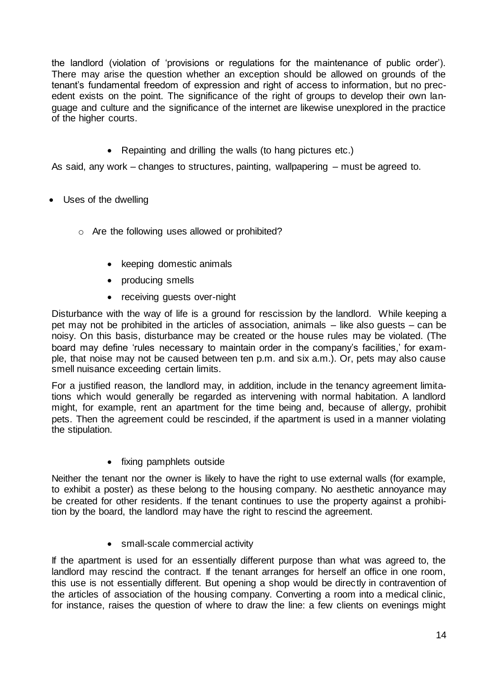the landlord (violation of 'provisions or regulations for the maintenance of public order'). There may arise the question whether an exception should be allowed on grounds of the tenant's fundamental freedom of expression and right of access to information, but no precedent exists on the point. The significance of the right of groups to develop their own language and culture and the significance of the internet are likewise unexplored in the practice of the higher courts.

• Repainting and drilling the walls (to hang pictures etc.)

As said, any work – changes to structures, painting, wallpapering – must be agreed to.

- Uses of the dwelling
	- o Are the following uses allowed or prohibited?
		- keeping domestic animals
		- producing smells
		- receiving guests over-night

Disturbance with the way of life is a ground for rescission by the landlord. While keeping a pet may not be prohibited in the articles of association, animals – like also guests – can be noisy. On this basis, disturbance may be created or the house rules may be violated. (The board may define 'rules necessary to maintain order in the company's facilities,' for example, that noise may not be caused between ten p.m. and six a.m.). Or, pets may also cause smell nuisance exceeding certain limits.

For a justified reason, the landlord may, in addition, include in the tenancy agreement limitations which would generally be regarded as intervening with normal habitation. A landlord might, for example, rent an apartment for the time being and, because of allergy, prohibit pets. Then the agreement could be rescinded, if the apartment is used in a manner violating the stipulation.

• fixing pamphlets outside

Neither the tenant nor the owner is likely to have the right to use external walls (for example, to exhibit a poster) as these belong to the housing company. No aesthetic annoyance may be created for other residents. If the tenant continues to use the property against a prohibition by the board, the landlord may have the right to rescind the agreement.

• small-scale commercial activity

If the apartment is used for an essentially different purpose than what was agreed to, the landlord may rescind the contract. If the tenant arranges for herself an office in one room, this use is not essentially different. But opening a shop would be directly in contravention of the articles of association of the housing company. Converting a room into a medical clinic, for instance, raises the question of where to draw the line: a few clients on evenings might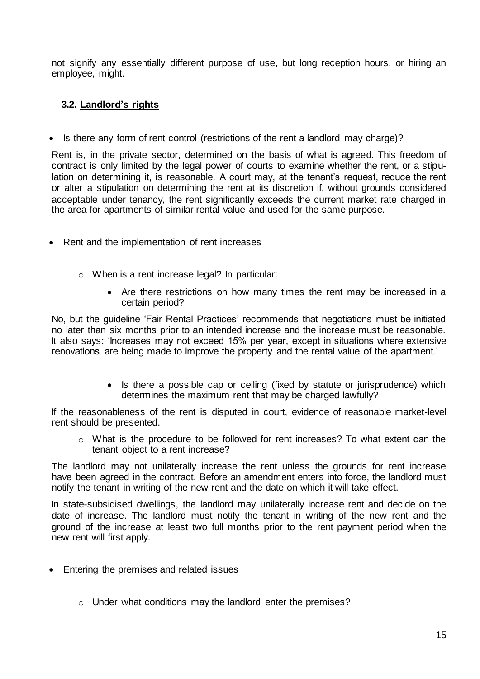not signify any essentially different purpose of use, but long reception hours, or hiring an employee, might.

# **3.2. Landlord's rights**

• Is there any form of rent control (restrictions of the rent a landlord may charge)?

Rent is, in the private sector, determined on the basis of what is agreed. This freedom of contract is only limited by the legal power of courts to examine whether the rent, or a stipulation on determining it, is reasonable. A court may, at the tenant's request, reduce the rent or alter a stipulation on determining the rent at its discretion if, without grounds considered acceptable under tenancy, the rent significantly exceeds the current market rate charged in the area for apartments of similar rental value and used for the same purpose.

- Rent and the implementation of rent increases
	- o When is a rent increase legal? In particular:
		- Are there restrictions on how many times the rent may be increased in a certain period?

No, but the guideline 'Fair Rental Practices' recommends that negotiations must be initiated no later than six months prior to an intended increase and the increase must be reasonable. It also says: 'Increases may not exceed 15% per year, except in situations where extensive renovations are being made to improve the property and the rental value of the apartment.'

> Is there a possible cap or ceiling (fixed by statute or jurisprudence) which determines the maximum rent that may be charged lawfully?

If the reasonableness of the rent is disputed in court, evidence of reasonable market-level rent should be presented.

o What is the procedure to be followed for rent increases? To what extent can the tenant object to a rent increase?

The landlord may not unilaterally increase the rent unless the grounds for rent increase have been agreed in the contract. Before an amendment enters into force, the landlord must notify the tenant in writing of the new rent and the date on which it will take effect.

In state-subsidised dwellings, the landlord may unilaterally increase rent and decide on the date of increase. The landlord must notify the tenant in writing of the new rent and the ground of the increase at least two full months prior to the rent payment period when the new rent will first apply.

- Entering the premises and related issues
	- o Under what conditions may the landlord enter the premises?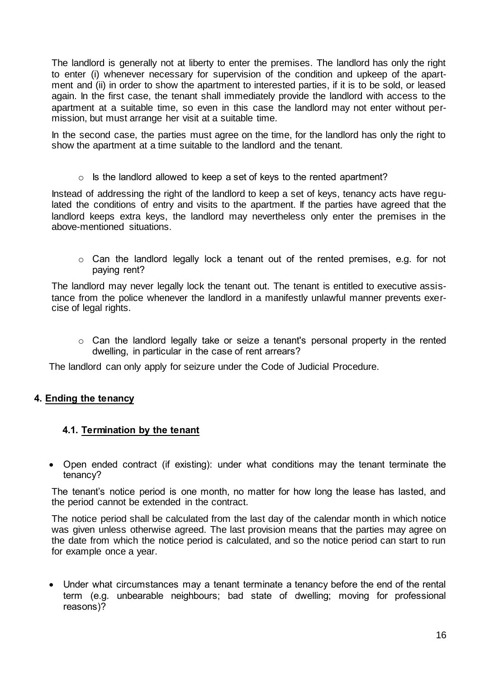The landlord is generally not at liberty to enter the premises. The landlord has only the right to enter (i) whenever necessary for supervision of the condition and upkeep of the apartment and (ii) in order to show the apartment to interested parties, if it is to be sold, or leased again. In the first case, the tenant shall immediately provide the landlord with access to the apartment at a suitable time, so even in this case the landlord may not enter without permission, but must arrange her visit at a suitable time.

In the second case, the parties must agree on the time, for the landlord has only the right to show the apartment at a time suitable to the landlord and the tenant.

 $\circ$  Is the landlord allowed to keep a set of keys to the rented apartment?

Instead of addressing the right of the landlord to keep a set of keys, tenancy acts have regulated the conditions of entry and visits to the apartment. If the parties have agreed that the landlord keeps extra keys, the landlord may nevertheless only enter the premises in the above-mentioned situations.

o Can the landlord legally lock a tenant out of the rented premises, e.g. for not paying rent?

The landlord may never legally lock the tenant out. The tenant is entitled to executive assistance from the police whenever the landlord in a manifestly unlawful manner prevents exercise of legal rights.

o Can the landlord legally take or seize a tenant's personal property in the rented dwelling, in particular in the case of rent arrears?

The landlord can only apply for seizure under the Code of Judicial Procedure.

# **4. Ending the tenancy**

#### **4.1. Termination by the tenant**

 Open ended contract (if existing): under what conditions may the tenant terminate the tenancy?

The tenant's notice period is one month, no matter for how long the lease has lasted, and the period cannot be extended in the contract.

The notice period shall be calculated from the last day of the calendar month in which notice was given unless otherwise agreed. The last provision means that the parties may agree on the date from which the notice period is calculated, and so the notice period can start to run for example once a year.

 Under what circumstances may a tenant terminate a tenancy before the end of the rental term (e.g. unbearable neighbours; bad state of dwelling; moving for professional reasons)?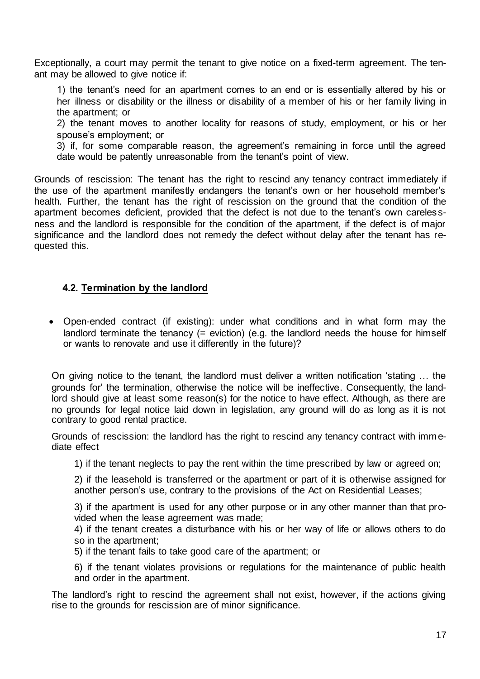Exceptionally, a court may permit the tenant to give notice on a fixed-term agreement. The tenant may be allowed to give notice if:

1) the tenant's need for an apartment comes to an end or is essentially altered by his or her illness or disability or the illness or disability of a member of his or her family living in the apartment; or

2) the tenant moves to another locality for reasons of study, employment, or his or her spouse's employment; or

3) if, for some comparable reason, the agreement's remaining in force until the agreed date would be patently unreasonable from the tenant's point of view.

Grounds of rescission: The tenant has the right to rescind any tenancy contract immediately if the use of the apartment manifestly endangers the tenant's own or her household member's health. Further, the tenant has the right of rescission on the ground that the condition of the apartment becomes deficient, provided that the defect is not due to the tenant's own carelessness and the landlord is responsible for the condition of the apartment, if the defect is of major significance and the landlord does not remedy the defect without delay after the tenant has requested this.

#### **4.2. Termination by the landlord**

 Open-ended contract (if existing): under what conditions and in what form may the landlord terminate the tenancy (= eviction) (e.g. the landlord needs the house for himself or wants to renovate and use it differently in the future)?

On giving notice to the tenant, the landlord must deliver a written notification 'stating … the grounds for' the termination, otherwise the notice will be ineffective. Consequently, the landlord should give at least some reason(s) for the notice to have effect. Although, as there are no grounds for legal notice laid down in legislation, any ground will do as long as it is not contrary to good rental practice.

Grounds of rescission: the landlord has the right to rescind any tenancy contract with immediate effect

1) if the tenant neglects to pay the rent within the time prescribed by law or agreed on;

2) if the leasehold is transferred or the apartment or part of it is otherwise assigned for another person's use, contrary to the provisions of the Act on Residential Leases;

3) if the apartment is used for any other purpose or in any other manner than that provided when the lease agreement was made;

4) if the tenant creates a disturbance with his or her way of life or allows others to do so in the apartment;

5) if the tenant fails to take good care of the apartment; or

6) if the tenant violates provisions or regulations for the maintenance of public health and order in the apartment.

The landlord's right to rescind the agreement shall not exist, however, if the actions giving rise to the grounds for rescission are of minor significance.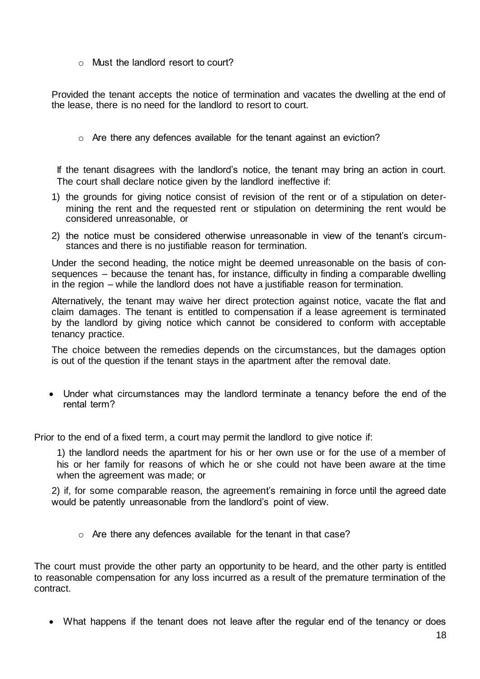o Must the landlord resort to court?

Provided the tenant accepts the notice of termination and vacates the dwelling at the end of the lease, there is no need for the landlord to resort to court.

 $\circ$  Are there any defences available for the tenant against an eviction?

If the tenant disagrees with the landlord's notice, the tenant may bring an action in court. The court shall declare notice given by the landlord ineffective if:

- 1) the grounds for giving notice consist of revision of the rent or of a stipulation on determining the rent and the requested rent or stipulation on determining the rent would be considered unreasonable, or
- 2) the notice must be considered otherwise unreasonable in view of the tenant's circumstances and there is no justifiable reason for termination.

Under the second heading, the notice might be deemed unreasonable on the basis of consequences – because the tenant has, for instance, difficulty in finding a comparable dwelling in the region – while the landlord does not have a justifiable reason for termination.

Alternatively, the tenant may waive her direct protection against notice, vacate the flat and claim damages. The tenant is entitled to compensation if a lease agreement is terminated by the landlord by giving notice which cannot be considered to conform with acceptable tenancy practice.

The choice between the remedies depends on the circumstances, but the damages option is out of the question if the tenant stays in the apartment after the removal date.

 Under what circumstances may the landlord terminate a tenancy before the end of the rental term?

Prior to the end of a fixed term, a court may permit the landlord to give notice if:

1) the landlord needs the apartment for his or her own use or for the use of a member of his or her family for reasons of which he or she could not have been aware at the time when the agreement was made; or

2) if, for some comparable reason, the agreement's remaining in force until the agreed date would be patently unreasonable from the landlord's point of view.

o Are there any defences available for the tenant in that case?

The court must provide the other party an opportunity to be heard, and the other party is entitled to reasonable compensation for any loss incurred as a result of the premature termination of the contract.

What happens if the tenant does not leave after the regular end of the tenancy or does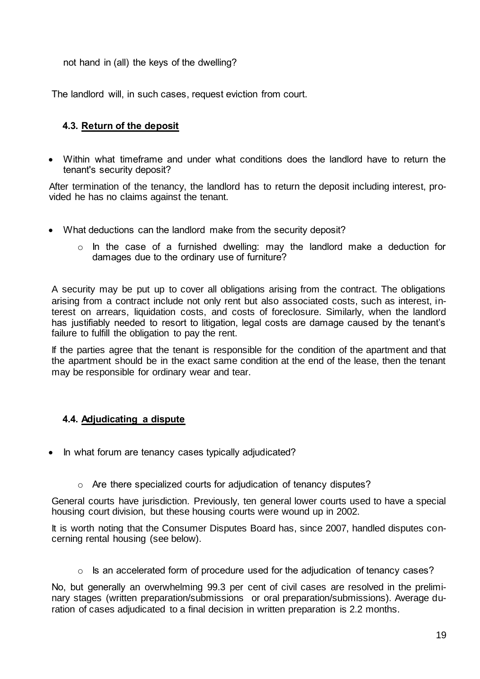not hand in (all) the keys of the dwelling?

The landlord will, in such cases, request eviction from court.

# **4.3. Return of the deposit**

 Within what timeframe and under what conditions does the landlord have to return the tenant's security deposit?

After termination of the tenancy, the landlord has to return the deposit including interest, provided he has no claims against the tenant.

- What deductions can the landlord make from the security deposit?
	- $\circ$  In the case of a furnished dwelling: may the landlord make a deduction for damages due to the ordinary use of furniture?

A security may be put up to cover all obligations arising from the contract. The obligations arising from a contract include not only rent but also associated costs, such as interest, interest on arrears, liquidation costs, and costs of foreclosure. Similarly, when the landlord has justifiably needed to resort to litigation, legal costs are damage caused by the tenant's failure to fulfill the obligation to pay the rent.

If the parties agree that the tenant is responsible for the condition of the apartment and that the apartment should be in the exact same condition at the end of the lease, then the tenant may be responsible for ordinary wear and tear.

# **4.4. Adjudicating a dispute**

- In what forum are tenancy cases typically adjudicated?
	- o Are there specialized courts for adjudication of tenancy disputes?

General courts have jurisdiction. Previously, ten general lower courts used to have a special housing court division, but these housing courts were wound up in 2002.

It is worth noting that the Consumer Disputes Board has, since 2007, handled disputes concerning rental housing (see below).

o Is an accelerated form of procedure used for the adjudication of tenancy cases?

No, but generally an overwhelming 99.3 per cent of civil cases are resolved in the preliminary stages (written preparation/submissions or oral preparation/submissions). Average duration of cases adjudicated to a final decision in written preparation is 2.2 months.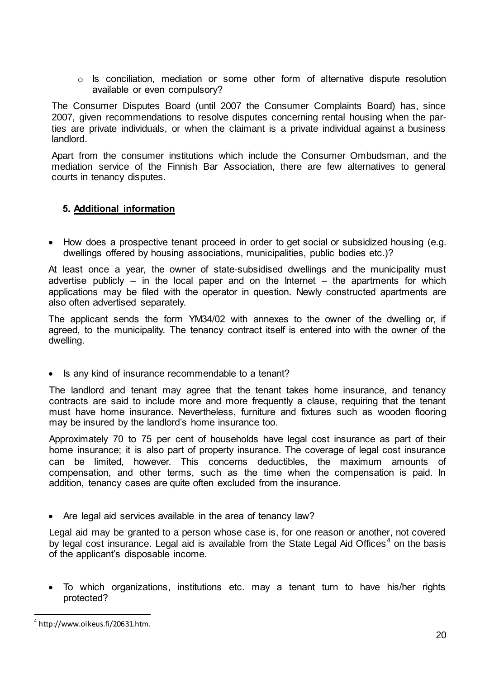$\circ$  Is conciliation, mediation or some other form of alternative dispute resolution available or even compulsory?

The Consumer Disputes Board (until 2007 the Consumer Complaints Board) has, since 2007, given recommendations to resolve disputes concerning rental housing when the parties are private individuals, or when the claimant is a private individual against a business landlord.

Apart from the consumer institutions which include the Consumer Ombudsman, and the mediation service of the Finnish Bar Association, there are few alternatives to general courts in tenancy disputes.

# **5. Additional information**

• How does a prospective tenant proceed in order to get social or subsidized housing (e.g. dwellings offered by housing associations, municipalities, public bodies etc.)?

At least once a year, the owner of state-subsidised dwellings and the municipality must advertise publicly  $-$  in the local paper and on the Internet  $-$  the apartments for which applications may be filed with the operator in question. Newly constructed apartments are also often advertised separately.

The applicant sends the form YM34/02 with annexes to the owner of the dwelling or, if agreed, to the municipality. The tenancy contract itself is entered into with the owner of the dwelling.

• Is any kind of insurance recommendable to a tenant?

The landlord and tenant may agree that the tenant takes home insurance, and tenancy contracts are said to include more and more frequently a clause, requiring that the tenant must have home insurance. Nevertheless, furniture and fixtures such as wooden flooring may be insured by the landlord's home insurance too.

Approximately 70 to 75 per cent of households have legal cost insurance as part of their home insurance; it is also part of property insurance. The coverage of legal cost insurance can be limited, however. This concerns deductibles, the maximum amounts of compensation, and other terms, such as the time when the compensation is paid. In addition, tenancy cases are quite often excluded from the insurance.

• Are legal aid services available in the area of tenancy law?

Legal aid may be granted to a person whose case is, for one reason or another, not covered by legal cost insurance. Legal aid is available from the State Legal Aid Offices<sup>4</sup> on the basis of the applicant's disposable income.

 To which organizations, institutions etc. may a tenant turn to have his/her rights protected?

l  $^4$  http://www.oikeus.fi/20631.htm.